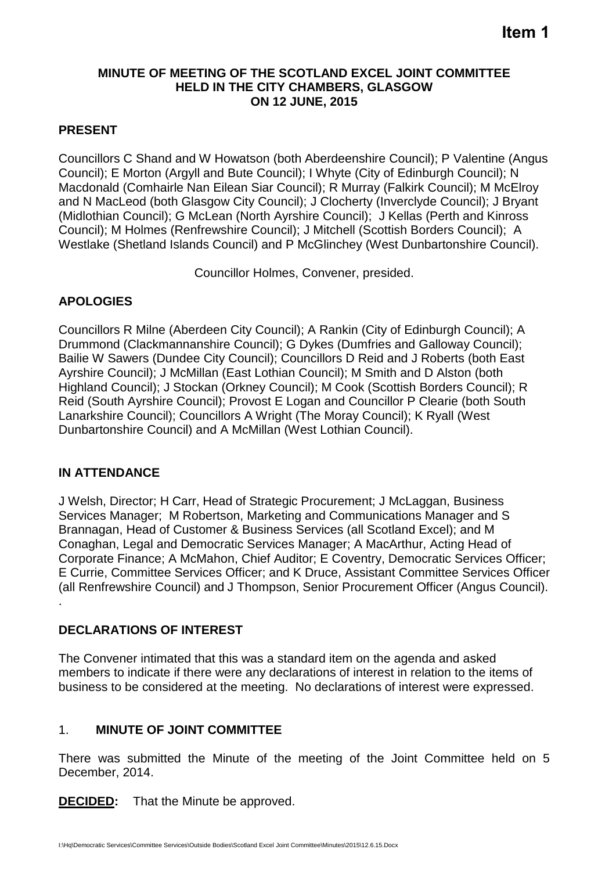#### **MINUTE OF MEETING OF THE SCOTLAND EXCEL JOINT COMMITTEE HELD IN THE CITY CHAMBERS, GLASGOW ON 12 JUNE, 2015**

## **PRESENT**

Councillors C Shand and W Howatson (both Aberdeenshire Council); P Valentine (Angus Council); E Morton (Argyll and Bute Council); I Whyte (City of Edinburgh Council); N Macdonald (Comhairle Nan Eilean Siar Council); R Murray (Falkirk Council); M McElroy and N MacLeod (both Glasgow City Council); J Clocherty (Inverclyde Council); J Bryant (Midlothian Council); G McLean (North Ayrshire Council); J Kellas (Perth and Kinross Council); M Holmes (Renfrewshire Council); J Mitchell (Scottish Borders Council); A Westlake (Shetland Islands Council) and P McGlinchey (West Dunbartonshire Council).

Councillor Holmes, Convener, presided.

## **APOLOGIES**

Councillors R Milne (Aberdeen City Council); A Rankin (City of Edinburgh Council); A Drummond (Clackmannanshire Council); G Dykes (Dumfries and Galloway Council); Bailie W Sawers (Dundee City Council); Councillors D Reid and J Roberts (both East Ayrshire Council); J McMillan (East Lothian Council); M Smith and D Alston (both Highland Council); J Stockan (Orkney Council); M Cook (Scottish Borders Council); R Reid (South Ayrshire Council); Provost E Logan and Councillor P Clearie (both South Lanarkshire Council); Councillors A Wright (The Moray Council); K Ryall (West Dunbartonshire Council) and A McMillan (West Lothian Council).

### **IN ATTENDANCE**

J Welsh, Director; H Carr, Head of Strategic Procurement; J McLaggan, Business Services Manager; M Robertson, Marketing and Communications Manager and S Brannagan, Head of Customer & Business Services (all Scotland Excel); and M Conaghan, Legal and Democratic Services Manager; A MacArthur, Acting Head of Corporate Finance; A McMahon, Chief Auditor; E Coventry, Democratic Services Officer; E Currie, Committee Services Officer; and K Druce, Assistant Committee Services Officer (all Renfrewshire Council) and J Thompson, Senior Procurement Officer (Angus Council). .

### **DECLARATIONS OF INTEREST**

The Convener intimated that this was a standard item on the agenda and asked members to indicate if there were any declarations of interest in relation to the items of business to be considered at the meeting. No declarations of interest were expressed.

# 1. **MINUTE OF JOINT COMMITTEE**

There was submitted the Minute of the meeting of the Joint Committee held on 5 December, 2014.

**DECIDED:** That the Minute be approved.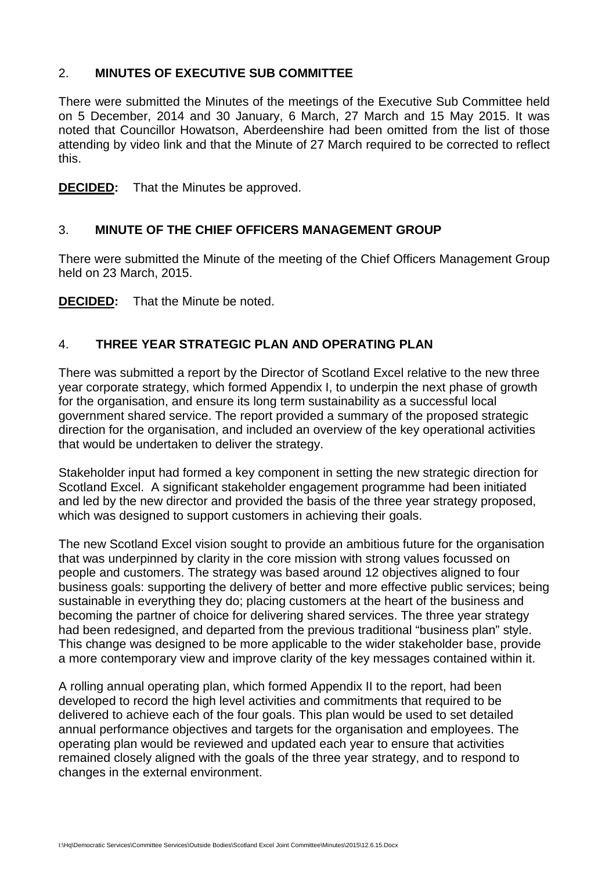## 2. **MINUTES OF EXECUTIVE SUB COMMITTEE**

There were submitted the Minutes of the meetings of the Executive Sub Committee held on 5 December, 2014 and 30 January, 6 March, 27 March and 15 May 2015. It was noted that Councillor Howatson, Aberdeenshire had been omitted from the list of those attending by video link and that the Minute of 27 March required to be corrected to reflect this.

**DECIDED:** That the Minutes be approved.

## 3. **MINUTE OF THE CHIEF OFFICERS MANAGEMENT GROUP**

There were submitted the Minute of the meeting of the Chief Officers Management Group held on 23 March, 2015.

**DECIDED:** That the Minute be noted.

## 4. **THREE YEAR STRATEGIC PLAN AND OPERATING PLAN**

There was submitted a report by the Director of Scotland Excel relative to the new three year corporate strategy, which formed Appendix I, to underpin the next phase of growth for the organisation, and ensure its long term sustainability as a successful local government shared service. The report provided a summary of the proposed strategic direction for the organisation, and included an overview of the key operational activities that would be undertaken to deliver the strategy.

Stakeholder input had formed a key component in setting the new strategic direction for Scotland Excel. A significant stakeholder engagement programme had been initiated and led by the new director and provided the basis of the three year strategy proposed, which was designed to support customers in achieving their goals.

The new Scotland Excel vision sought to provide an ambitious future for the organisation that was underpinned by clarity in the core mission with strong values focussed on people and customers. The strategy was based around 12 objectives aligned to four business goals: supporting the delivery of better and more effective public services; being sustainable in everything they do; placing customers at the heart of the business and becoming the partner of choice for delivering shared services. The three year strategy had been redesigned, and departed from the previous traditional "business plan" style. This change was designed to be more applicable to the wider stakeholder base, provide a more contemporary view and improve clarity of the key messages contained within it.

A rolling annual operating plan, which formed Appendix II to the report, had been developed to record the high level activities and commitments that required to be delivered to achieve each of the four goals. This plan would be used to set detailed annual performance objectives and targets for the organisation and employees. The operating plan would be reviewed and updated each year to ensure that activities remained closely aligned with the goals of the three year strategy, and to respond to changes in the external environment.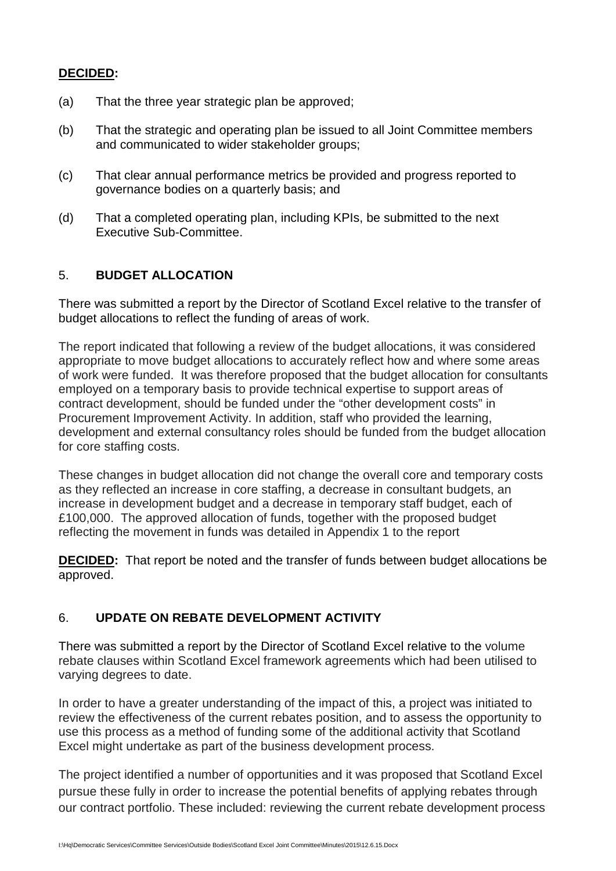#### **DECIDED:**

- (a) That the three year strategic plan be approved;
- (b) That the strategic and operating plan be issued to all Joint Committee members and communicated to wider stakeholder groups;
- (c) That clear annual performance metrics be provided and progress reported to governance bodies on a quarterly basis; and
- (d) That a completed operating plan, including KPIs, be submitted to the next Executive Sub-Committee.

## 5. **BUDGET ALLOCATION**

There was submitted a report by the Director of Scotland Excel relative to the transfer of budget allocations to reflect the funding of areas of work.

The report indicated that following a review of the budget allocations, it was considered appropriate to move budget allocations to accurately reflect how and where some areas of work were funded. It was therefore proposed that the budget allocation for consultants employed on a temporary basis to provide technical expertise to support areas of contract development, should be funded under the "other development costs" in Procurement Improvement Activity. In addition, staff who provided the learning, development and external consultancy roles should be funded from the budget allocation for core staffing costs.

These changes in budget allocation did not change the overall core and temporary costs as they reflected an increase in core staffing, a decrease in consultant budgets, an increase in development budget and a decrease in temporary staff budget, each of £100,000. The approved allocation of funds, together with the proposed budget reflecting the movement in funds was detailed in Appendix 1 to the report

**DECIDED:** That report be noted and the transfer of funds between budget allocations be approved.

### 6. **UPDATE ON REBATE DEVELOPMENT ACTIVITY**

There was submitted a report by the Director of Scotland Excel relative to the volume rebate clauses within Scotland Excel framework agreements which had been utilised to varying degrees to date.

In order to have a greater understanding of the impact of this, a project was initiated to review the effectiveness of the current rebates position, and to assess the opportunity to use this process as a method of funding some of the additional activity that Scotland Excel might undertake as part of the business development process.

The project identified a number of opportunities and it was proposed that Scotland Excel pursue these fully in order to increase the potential benefits of applying rebates through our contract portfolio. These included: reviewing the current rebate development process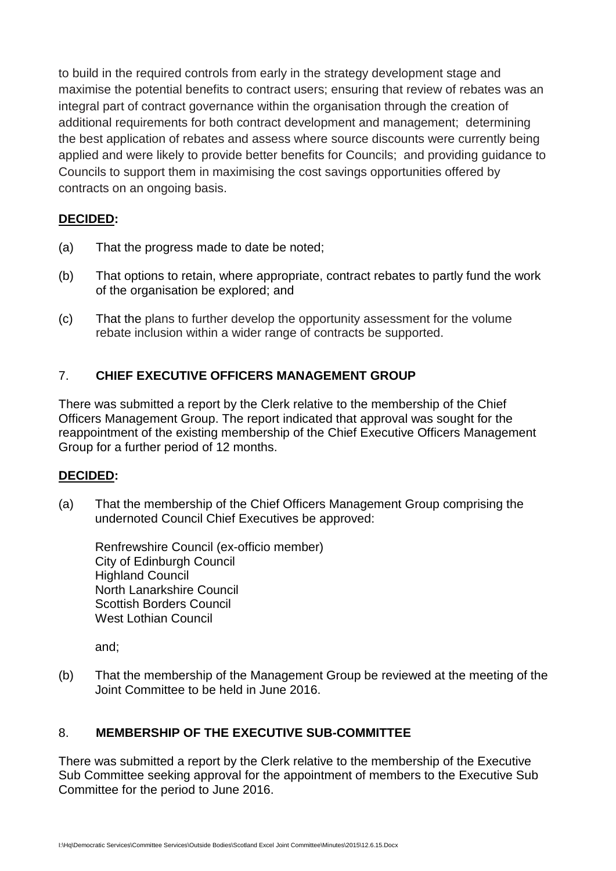to build in the required controls from early in the strategy development stage and maximise the potential benefits to contract users; ensuring that review of rebates was an integral part of contract governance within the organisation through the creation of additional requirements for both contract development and management; determining the best application of rebates and assess where source discounts were currently being applied and were likely to provide better benefits for Councils; and providing guidance to Councils to support them in maximising the cost savings opportunities offered by contracts on an ongoing basis.

## **DECIDED:**

- (a) That the progress made to date be noted;
- (b) That options to retain, where appropriate, contract rebates to partly fund the work of the organisation be explored; and
- (c) That the plans to further develop the opportunity assessment for the volume rebate inclusion within a wider range of contracts be supported.

# 7. **CHIEF EXECUTIVE OFFICERS MANAGEMENT GROUP**

There was submitted a report by the Clerk relative to the membership of the Chief Officers Management Group. The report indicated that approval was sought for the reappointment of the existing membership of the Chief Executive Officers Management Group for a further period of 12 months.

### **DECIDED:**

(a) That the membership of the Chief Officers Management Group comprising the undernoted Council Chief Executives be approved:

Renfrewshire Council (ex-officio member) City of Edinburgh Council Highland Council North Lanarkshire Council Scottish Borders Council West Lothian Council

and;

(b) That the membership of the Management Group be reviewed at the meeting of the Joint Committee to be held in June 2016.

# 8. **MEMBERSHIP OF THE EXECUTIVE SUB-COMMITTEE**

There was submitted a report by the Clerk relative to the membership of the Executive Sub Committee seeking approval for the appointment of members to the Executive Sub Committee for the period to June 2016.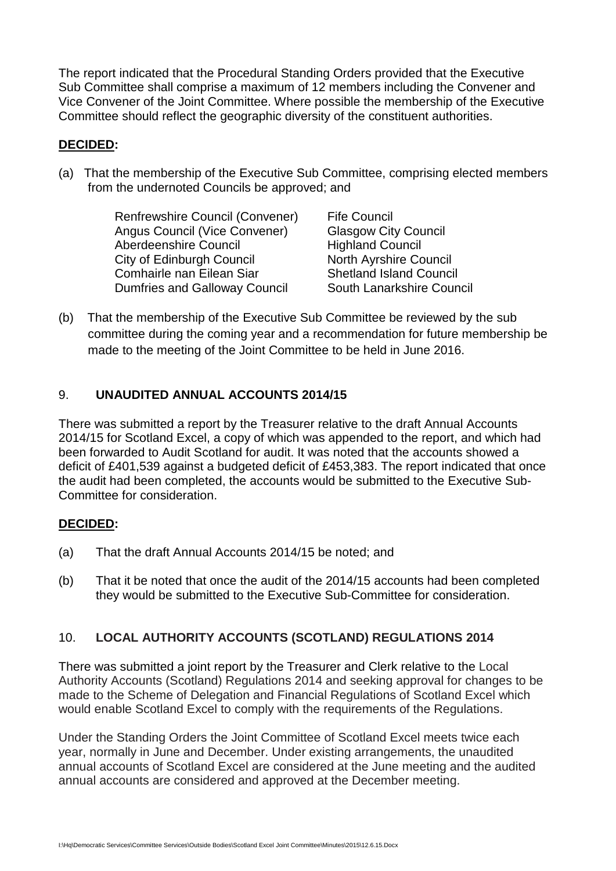The report indicated that the Procedural Standing Orders provided that the Executive Sub Committee shall comprise a maximum of 12 members including the Convener and Vice Convener of the Joint Committee. Where possible the membership of the Executive Committee should reflect the geographic diversity of the constituent authorities.

### **DECIDED:**

(a) That the membership of the Executive Sub Committee, comprising elected members from the undernoted Councils be approved; and

> Renfrewshire Council (Convener) Angus Council (Vice Convener) Aberdeenshire Council City of Edinburgh Council Comhairle nan Eilean Siar Dumfries and Galloway Council

Fife Council Glasgow City Council Highland Council North Ayrshire Council Shetland Island Council South Lanarkshire Council

(b) That the membership of the Executive Sub Committee be reviewed by the sub committee during the coming year and a recommendation for future membership be made to the meeting of the Joint Committee to be held in June 2016.

# 9. **UNAUDITED ANNUAL ACCOUNTS 2014/15**

There was submitted a report by the Treasurer relative to the draft Annual Accounts 2014/15 for Scotland Excel, a copy of which was appended to the report, and which had been forwarded to Audit Scotland for audit. It was noted that the accounts showed a deficit of £401,539 against a budgeted deficit of £453,383. The report indicated that once the audit had been completed, the accounts would be submitted to the Executive Sub-Committee for consideration.

# **DECIDED:**

- (a) That the draft Annual Accounts 2014/15 be noted; and
- (b) That it be noted that once the audit of the 2014/15 accounts had been completed they would be submitted to the Executive Sub-Committee for consideration.

# 10. **LOCAL AUTHORITY ACCOUNTS (SCOTLAND) REGULATIONS 2014**

There was submitted a joint report by the Treasurer and Clerk relative to the Local Authority Accounts (Scotland) Regulations 2014 and seeking approval for changes to be made to the Scheme of Delegation and Financial Regulations of Scotland Excel which would enable Scotland Excel to comply with the requirements of the Regulations.

Under the Standing Orders the Joint Committee of Scotland Excel meets twice each year, normally in June and December. Under existing arrangements, the unaudited annual accounts of Scotland Excel are considered at the June meeting and the audited annual accounts are considered and approved at the December meeting.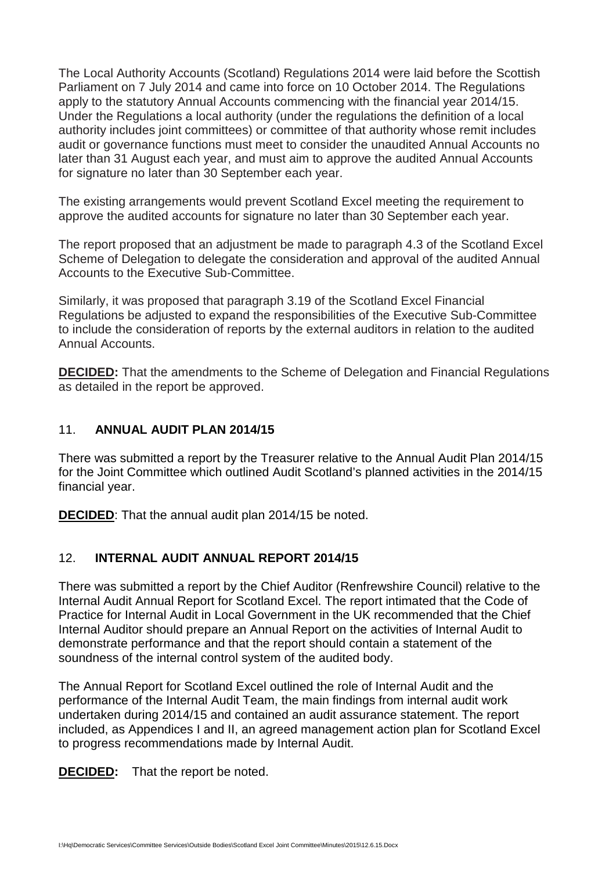The Local Authority Accounts (Scotland) Regulations 2014 were laid before the Scottish Parliament on 7 July 2014 and came into force on 10 October 2014. The Regulations apply to the statutory Annual Accounts commencing with the financial year 2014/15. Under the Regulations a local authority (under the regulations the definition of a local authority includes joint committees) or committee of that authority whose remit includes audit or governance functions must meet to consider the unaudited Annual Accounts no later than 31 August each year, and must aim to approve the audited Annual Accounts for signature no later than 30 September each year.

The existing arrangements would prevent Scotland Excel meeting the requirement to approve the audited accounts for signature no later than 30 September each year.

The report proposed that an adjustment be made to paragraph 4.3 of the Scotland Excel Scheme of Delegation to delegate the consideration and approval of the audited Annual Accounts to the Executive Sub-Committee.

Similarly, it was proposed that paragraph 3.19 of the Scotland Excel Financial Regulations be adjusted to expand the responsibilities of the Executive Sub-Committee to include the consideration of reports by the external auditors in relation to the audited Annual Accounts.

**DECIDED:** That the amendments to the Scheme of Delegation and Financial Regulations as detailed in the report be approved.

### 11. **ANNUAL AUDIT PLAN 2014/15**

There was submitted a report by the Treasurer relative to the Annual Audit Plan 2014/15 for the Joint Committee which outlined Audit Scotland's planned activities in the 2014/15 financial year.

**DECIDED**: That the annual audit plan 2014/15 be noted.

### 12. **INTERNAL AUDIT ANNUAL REPORT 2014/15**

There was submitted a report by the Chief Auditor (Renfrewshire Council) relative to the Internal Audit Annual Report for Scotland Excel. The report intimated that the Code of Practice for Internal Audit in Local Government in the UK recommended that the Chief Internal Auditor should prepare an Annual Report on the activities of Internal Audit to demonstrate performance and that the report should contain a statement of the soundness of the internal control system of the audited body.

The Annual Report for Scotland Excel outlined the role of Internal Audit and the performance of the Internal Audit Team, the main findings from internal audit work undertaken during 2014/15 and contained an audit assurance statement. The report included, as Appendices I and II, an agreed management action plan for Scotland Excel to progress recommendations made by Internal Audit.

**DECIDED:** That the report be noted.